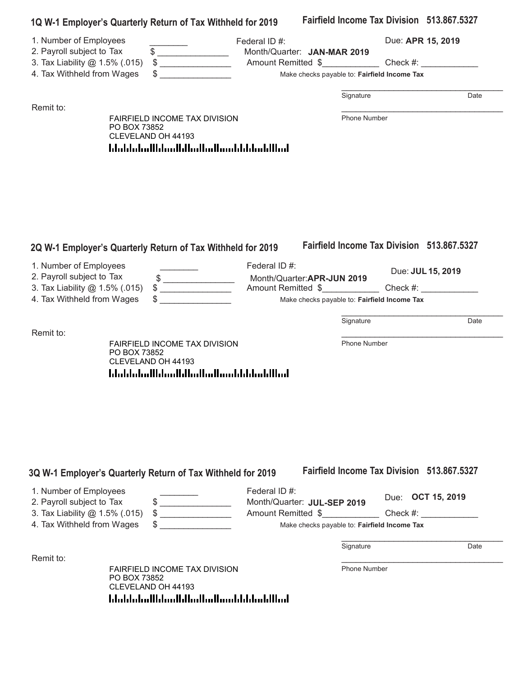| 1Q W-1 Employer's Quarterly Return of Tax Withheld for 2019                                                                      |              |                                                                            |                                                             |                                              |                   |                   |
|----------------------------------------------------------------------------------------------------------------------------------|--------------|----------------------------------------------------------------------------|-------------------------------------------------------------|----------------------------------------------|-------------------|-------------------|
| 1. Number of Employees<br>2. Payroll subject to Tax                                                                              |              |                                                                            | Federal ID#:                                                |                                              | Due: APR 15, 2019 |                   |
| 3. Tax Liability @ 1.5% (.015)                                                                                                   |              | $\frac{1}{2}$<br>$\begin{array}{c} \updownarrow \\ \downarrow \end{array}$ |                                                             | Month/Quarter: JAN-MAR 2019                  |                   |                   |
| 4. Tax Withheld from Wages                                                                                                       |              |                                                                            |                                                             | Make checks payable to: Fairfield Income Tax |                   |                   |
|                                                                                                                                  |              |                                                                            |                                                             |                                              |                   |                   |
|                                                                                                                                  |              |                                                                            |                                                             | Signature                                    |                   | Date              |
| Remit to:                                                                                                                        | PO BOX 73852 | FAIRFIELD INCOME TAX DIVISION<br>CLEVELAND OH 44193                        |                                                             | Phone Number                                 |                   |                   |
|                                                                                                                                  |              |                                                                            |                                                             |                                              |                   |                   |
|                                                                                                                                  |              |                                                                            | 2Q W-1 Employer's Quarterly Return of Tax Withheld for 2019 | Fairfield Income Tax Division 513.867.5327   |                   |                   |
|                                                                                                                                  |              |                                                                            | Federal ID#:                                                |                                              |                   |                   |
|                                                                                                                                  |              | \$                                                                         |                                                             | Month/Quarter:APR-JUN 2019                   |                   | Due: JUL 15, 2019 |
|                                                                                                                                  |              |                                                                            |                                                             | Amount Remitted \$                           |                   | Check #:          |
|                                                                                                                                  |              |                                                                            |                                                             | Make checks payable to: Fairfield Income Tax |                   |                   |
|                                                                                                                                  |              |                                                                            |                                                             | Signature                                    |                   | Date              |
|                                                                                                                                  | PO BOX 73852 | <b>FAIRFIELD INCOME TAX DIVISION</b>                                       |                                                             | <b>Phone Number</b>                          |                   |                   |
|                                                                                                                                  |              | CLEVELAND OH 44193                                                         |                                                             |                                              |                   |                   |
|                                                                                                                                  |              |                                                                            |                                                             |                                              |                   |                   |
|                                                                                                                                  |              |                                                                            |                                                             |                                              |                   |                   |
|                                                                                                                                  |              |                                                                            |                                                             |                                              |                   |                   |
|                                                                                                                                  |              |                                                                            |                                                             |                                              |                   |                   |
|                                                                                                                                  |              |                                                                            |                                                             |                                              |                   |                   |
| 1. Number of Employees<br>2. Payroll subject to Tax<br>3. Tax Liability @ 1.5% (.015)<br>4. Tax Withheld from Wages<br>Remit to: |              |                                                                            |                                                             |                                              |                   |                   |
|                                                                                                                                  |              |                                                                            | 3Q W-1 Employer's Quarterly Return of Tax Withheld for 2019 | Fairfield Income Tax Division 513,867,5327   |                   |                   |

| 1. Number of Employees         | Federal ID $#$ :                             |                          |      |
|--------------------------------|----------------------------------------------|--------------------------|------|
| 2. Payroll subject to Tax      | Month/Quarter: JUL-SEP 2019                  | Due: <b>OCT 15, 2019</b> |      |
| 3. Tax Liability @ 1.5% (.015) | Amount Remitted \$                           | Check #:                 |      |
| 4. Tax Withheld from Wages     | Make checks payable to: Fairfield Income Tax |                          |      |
|                                |                                              |                          |      |
|                                | Signature                                    |                          | Date |

Remit to: Fairfield Income Tax Division Later Income Tax Division Later Income Tax Division Later Income Tax D

FAIRFIELD INCOME TAX DIVISION **FAIRFIELD** INCOME PO BOX 738 FAIRFIELD INCOME TAX DIVISION PO BOX 73852 CLEVELAND OH 44193